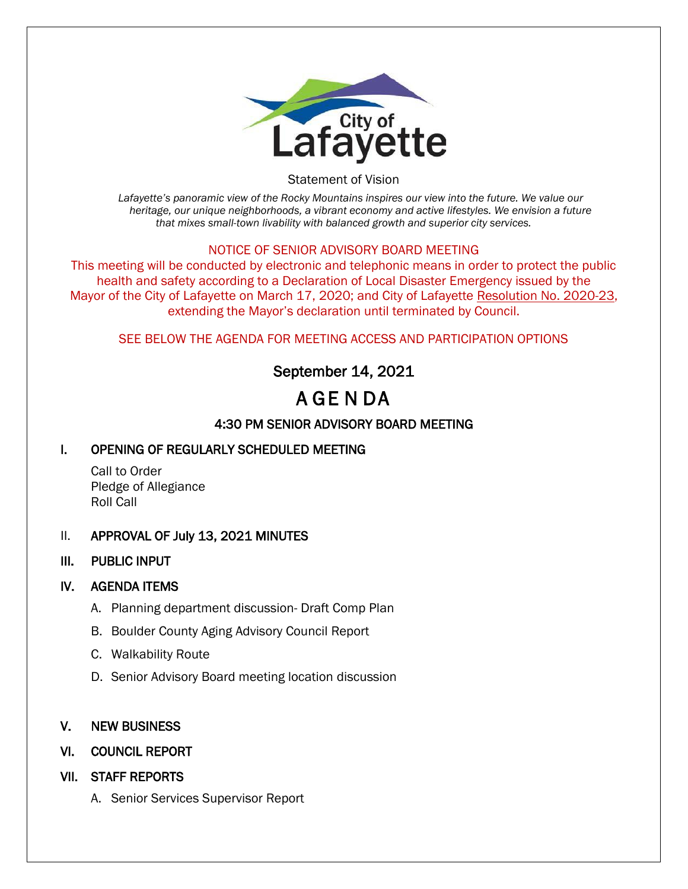

Statement of Vision

*Lafayette's panoramic view of the Rocky Mountains inspires our view into the future. We value our heritage, our unique neighborhoods, a vibrant economy and active lifestyles. We envision a future that mixes small-town livability with balanced growth and superior city services.*

#### NOTICE OF SENIOR ADVISORY BOARD MEETING

This meeting will be conducted by electronic and telephonic means in order to protect the public health and safety according to a Declaration of Local Disaster Emergency issued by the Mayor of the City of Lafayette on March 17, 2020; and City of Lafayette Resolution No. 2020-23, extending the Mayor's declaration until terminated by Council.

SEE BELOW THE AGENDA FOR MEETING ACCESS AND PARTICIPATION OPTIONS

# September 14, 2021

# A GE N DA

## 4:30 PM SENIOR ADVISORY BOARD MEETING

### I. OPENING OF REGULARLY SCHEDULED MEETING

Call to Order Pledge of Allegiance Roll Call

#### II. APPROVAL OF July 13, 2021 MINUTES

III. PUBLIC INPUT

#### IV. AGENDA ITEMS

- A. Planning department discussion- Draft Comp Plan
- B. Boulder County Aging Advisory Council Report
- C. Walkability Route
- D. Senior Advisory Board meeting location discussion

#### V. NEW BUSINESS

#### VI. COUNCIL REPORT

- VII. STAFF REPORTS
	- A. Senior Services Supervisor Report